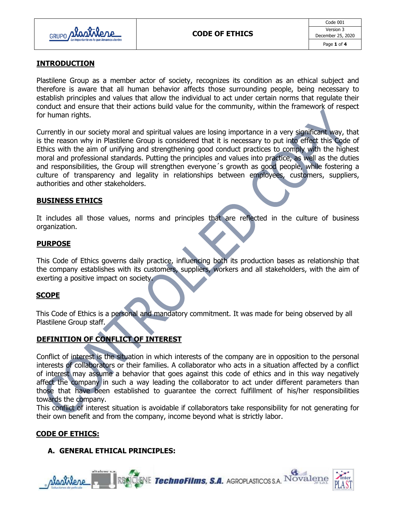

## **INTRODUCTION**

Plastilene Group as a member actor of society, recognizes its condition as an ethical subject and therefore is aware that all human behavior affects those surrounding people, being necessary to establish principles and values that allow the individual to act under certain norms that regulate their conduct and ensure that their actions build value for the community, within the framework of respect for human rights.

Currently in our society moral and spiritual values are losing importance in a very significant way, that is the reason why in Plastilene Group is considered that it is necessary to put into effect this Code of Ethics with the aim of unifying and strengthening good conduct practices to comply with the highest moral and professional standards. Putting the principles and values into practice, as well as the duties and responsibilities, the Group will strengthen everyone´s growth as good people, while fostering a culture of transparency and legality in relationships between employees, customers, suppliers, authorities and other stakeholders.

### **BUSINESS ETHICS**

It includes all those values, norms and principles that are reflected in the culture of business organization.

### **PURPOSE**

This Code of Ethics governs daily practice, influencing both its production bases as relationship that the company establishes with its customers, suppliers, workers and all stakeholders, with the aim of exerting a positive impact on society.

### **SCOPE**

This Code of Ethics is a personal and mandatory commitment. It was made for being observed by all Plastilene Group staff.

# **DEFINITION OF CONFLICT OF INTEREST**

Conflict of interest is the situation in which interests of the company are in opposition to the personal interests of collaborators or their families. A collaborator who acts in a situation affected by a conflict of interest may assume a behavior that goes against this code of ethics and in this way negatively affect the company in such a way leading the collaborator to act under different parameters than those that have been established to guarantee the correct fulfillment of his/her responsibilities towards the company.

This conflict of interest situation is avoidable if collaborators take responsibility for not generating for their own benefit and from the company, income beyond what is strictly labor.

## **CODE OF ETHICS:**

## **A. GENERAL ETHICAL PRINCIPLES:**

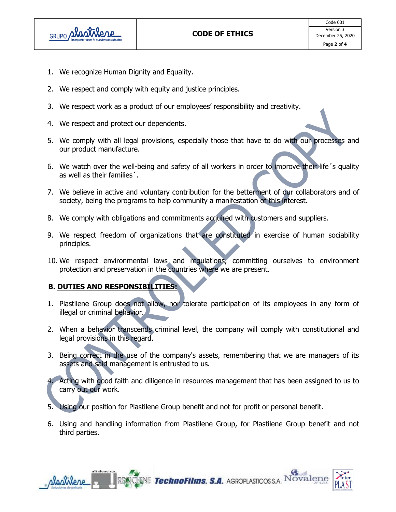

- 1. We recognize Human Dignity and Equality.
- 2. We respect and comply with equity and justice principles.
- 3. We respect work as a product of our employees' responsibility and creativity.
- 4. We respect and protect our dependents.
- 5. We comply with all legal provisions, especially those that have to do with our processes and our product manufacture.
- 6. We watch over the well-being and safety of all workers in order to improve their life´s quality as well as their families´.
- 7. We believe in active and voluntary contribution for the betterment of our collaborators and of society, being the programs to help community a manifestation of this interest.
- 8. We comply with obligations and commitments acquired with customers and suppliers.
- 9. We respect freedom of organizations that are constituted in exercise of human sociability principles.
- 10. We respect environmental laws and regulations, committing ourselves to environment protection and preservation in the countries where we are present.

# **B. DUTIES AND RESPONSIBILITIES:**

- 1. Plastilene Group does not allow, nor tolerate participation of its employees in any form of illegal or criminal behavior.
- 2. When a behavior transcends criminal level, the company will comply with constitutional and legal provisions in this regard.
- 3. Being correct in the use of the company's assets, remembering that we are managers of its assets and said management is entrusted to us.
- 4. Acting with good faith and diligence in resources management that has been assigned to us to carry out our work.
- 5. Using our position for Plastilene Group benefit and not for profit or personal benefit.
- 6. Using and handling information from Plastilene Group, for Plastilene Group benefit and not third parties.

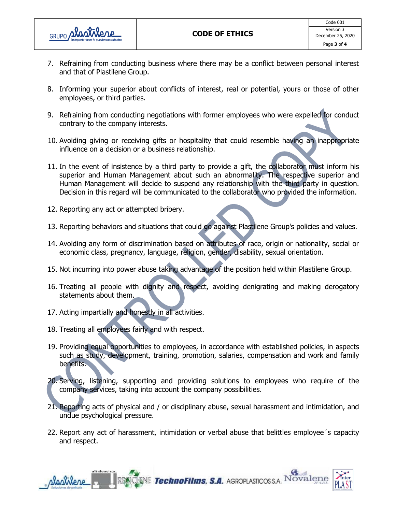

- 7. Refraining from conducting business where there may be a conflict between personal interest and that of Plastilene Group.
- 8. Informing your superior about conflicts of interest, real or potential, yours or those of other employees, or third parties.
- 9. Refraining from conducting negotiations with former employees who were expelled for conduct contrary to the company interests.
- 10. Avoiding giving or receiving gifts or hospitality that could resemble having an inappropriate influence on a decision or a business relationship.
- 11. In the event of insistence by a third party to provide a gift, the collaborator must inform his superior and Human Management about such an abnormality. The respective superior and Human Management will decide to suspend any relationship with the third party in question. Decision in this regard will be communicated to the collaborator who provided the information.
- 12. Reporting any act or attempted bribery.
- 13. Reporting behaviors and situations that could go against Plastilene Group's policies and values.
- 14. Avoiding any form of discrimination based on attributes of race, origin or nationality, social or economic class, pregnancy, language, religion, gender, disability, sexual orientation.
- 15. Not incurring into power abuse taking advantage of the position held within Plastilene Group.
- 16. Treating all people with dignity and respect, avoiding denigrating and making derogatory statements about them.
- 17. Acting impartially and honestly in all activities.
- 18. Treating all employees fairly and with respect.
- 19. Providing equal opportunities to employees, in accordance with established policies, in aspects such as study, development, training, promotion, salaries, compensation and work and family benefits.
- 20. Serving, listening, supporting and providing solutions to employees who require of the company services, taking into account the company possibilities.
- 21. Reporting acts of physical and / or disciplinary abuse, sexual harassment and intimidation, and undue psychological pressure.
- 22. Report any act of harassment, intimidation or verbal abuse that belittles employee´s capacity and respect.